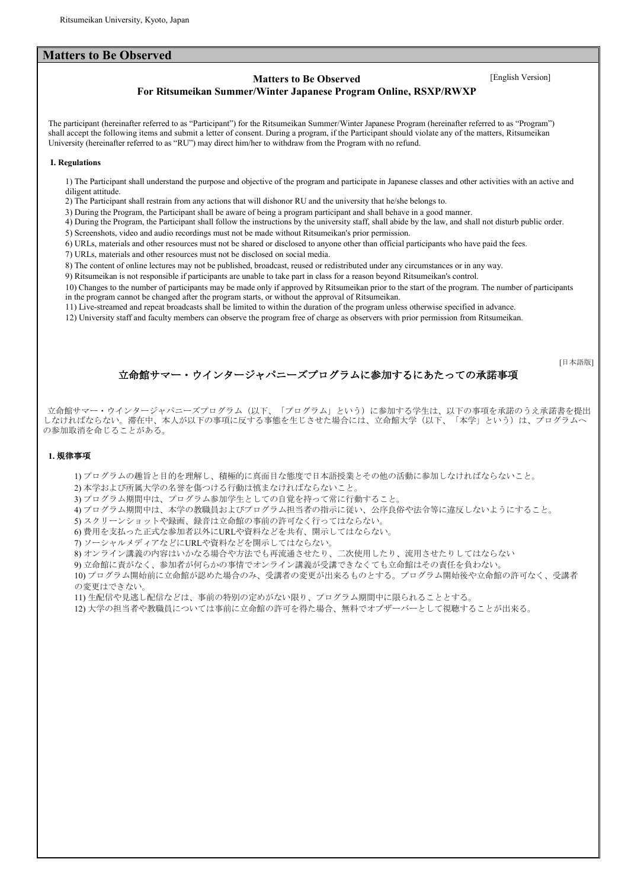### **Matters to Be Observed**

# **Matters to Be Observed** [English Version]

### **For Ritsumeikan Summer/Winter Japanese Program Online, RSXP/RWXP**

The participant (hereinafter referred to as "Participant") for the Ritsumeikan Summer/Winter Japanese Program (hereinafter referred to as "Program") shall accept the following items and submit a letter of consent. During a program, if the Participant should violate any of the matters, Ritsumeikan University (hereinafter referred to as "RU") may direct him/her to withdraw from the Program with no refund.

#### **I. Regulations**

1) The Participant shall understand the purpose and objective of the program and participate in Japanese classes and other activities with an active and diligent attitude.

2) The Participant shall restrain from any actions that will dishonor RU and the university that he/she belongs to.

3) During the Program, the Participant shall be aware of being a program participant and shall behave in a good manner.

4) During the Program, the Participant shall follow the instructions by the university staff, shall abide by the law, and shall not disturb public order.

5) Screenshots, video and audio recordings must not be made without Ritsumeikan's prior permission.

6) URLs, materials and other resources must not be shared or disclosed to anyone other than official participants who have paid the fees.

7) URLs, materials and other resources must not be disclosed on social media.

8) The content of online lectures may not be published, broadcast, reused or redistributed under any circumstances or in any way.

9) Ritsumeikan is not responsible if participants are unable to take part in class for a reason beyond Ritsumeikan's control.

10) Changes to the number of participants may be made only if approved by Ritsumeikan prior to the start of the program. The number of participants in the program cannot be changed after the program starts, or without the approval of Ritsumeikan.

11) Live-streamed and repeat broadcasts shall be limited to within the duration of the program unless otherwise specified in advance.

12) University staff and faculty members can observe the program free of charge as observers with prior permission from Ritsumeikan.

[日本語版]

# 立命館サマー・ウインタージャパニーズプログラムに参加するにあたっての承諾事項

立命館サマー・ウインタージャパニーズプログラム(以下、「プログラム」という)に参加する学生は、以下の事項を承諾のうえ承諾書を提出 しなければならない。滞在中、本人が以下の事項に反する事態を生じさせた場合には、立命館大学(以下、「本学」という)は、プログラムへ の参加取消を命じることがある。

#### **1.** 規律事項

1) プログラムの趣旨と目的を理解し、積極的に真面目な態度で日本語授業とその他の活動に参加しなければならないこと。

2) 本学および所属大学の名誉を傷つける行動は慎まなければならないこと。

3) プログラム期間中は、プログラム参加学生としての自覚を持って常に行動すること。

4) プログラム期間中は、本学の教職員およびプログラム担当者の指示に従い、公序良俗や法令等に違反しないようにすること。

5) スクリーンショットや録画、録音は立命館の事前の許可なく行ってはならない。

6) 費用を支払った正式な参加者以外にURLや資料などを共有、開示してはならない。

7) ソーシャルメディアなどにURLや資料などを開示してはならない。

8) オンライン講義の内容はいかなる場合や方法でも再流通させたり、二次使用したり、流用させたりしてはならない

9) 立命館に責がなく、参加者が何らかの事情でオンライン講義が受講できなくても立命館はその責任を負わない。

10) プログラム開始前に立命館が認めた場合のみ、受講者の変更が出来るものとする。プログラム開始後や立命館の許可なく、受講者 の変更はできない。

11) 生配信や見逃し配信などは、事前の特別の定めがない限り、プログラム期間中に限られることとする。

12) 大学の担当者や教職員については事前に立命館の許可を得た場合、無料でオブザーバーとして視聴することが出来る。